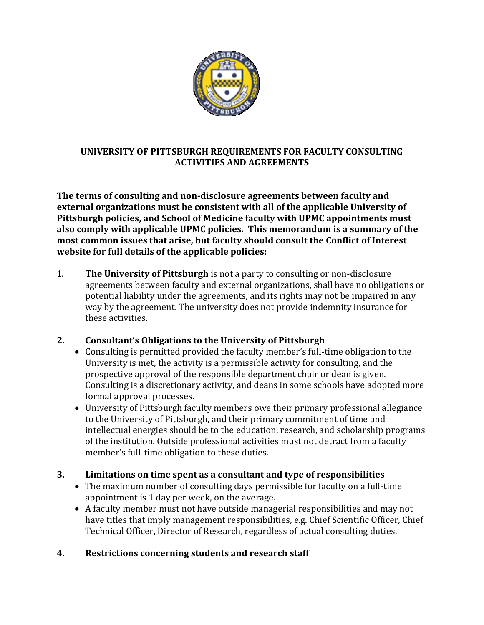

## **UNIVERSITY OF PITTSBURGH REQUIREMENTS FOR FACULTY CONSULTING ACTIVITIES AND AGREEMENTS**

**The terms of consulting and non-disclosure agreements between faculty and external organizations must be consistent with all of the applicable University of Pittsburgh policies, and School of Medicine faculty with UPMC appointments must also comply with applicable UPMC policies. This memorandum is a summary of the most common issues that arise, but faculty should consult the Conflict of Interest website for full details of the applicable policies:**

1. **The University of Pittsburgh** is not a party to consulting or non-disclosure agreements between faculty and external organizations, shall have no obligations or potential liability under the agreements, and its rights may not be impaired in any way by the agreement. The university does not provide indemnity insurance for these activities.

## **2. Consultant's Obligations to the University of Pittsburgh**

- Consulting is permitted provided the faculty member's full-time obligation to the University is met, the activity is a permissible activity for consulting, and the prospective approval of the responsible department chair or dean is given. Consulting is a discretionary activity, and deans in some schools have adopted more formal approval processes.
- University of Pittsburgh faculty members owe their primary professional allegiance to the University of Pittsburgh, and their primary commitment of time and intellectual energies should be to the education, research, and scholarship programs of the institution. Outside professional activities must not detract from a faculty member's full-time obligation to these duties.

## **3. Limitations on time spent as a consultant and type of responsibilities**

- The maximum number of consulting days permissible for faculty on a full-time appointment is 1 day per week, on the average.
- A faculty member must not have outside managerial responsibilities and may not have titles that imply management responsibilities, e.g. Chief Scientific Officer, Chief Technical Officer, Director of Research, regardless of actual consulting duties.

## **4. Restrictions concerning students and research staff**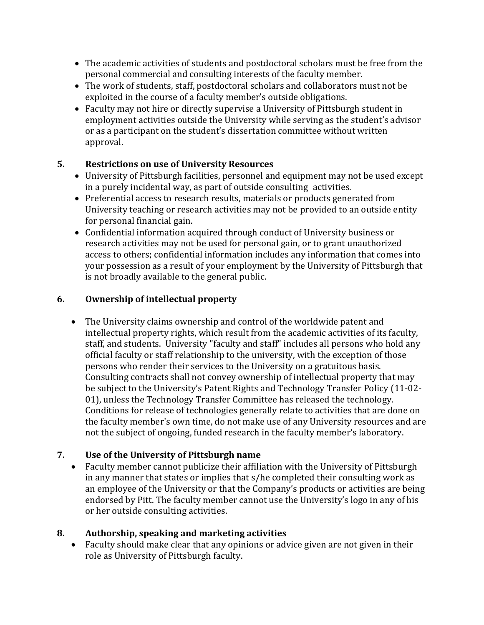- The academic activities of students and postdoctoral scholars must be free from the personal commercial and consulting interests of the faculty member.
- The work of students, staff, postdoctoral scholars and collaborators must not be exploited in the course of a faculty member's outside obligations.
- Faculty may not hire or directly supervise a University of Pittsburgh student in employment activities outside the University while serving as the student's advisor or as a participant on the student's dissertation committee without written approval.

## **5. Restrictions on use of University Resources**

- University of Pittsburgh facilities, personnel and equipment may not be used except in a purely incidental way, as part of outside consulting activities.
- Preferential access to research results, materials or products generated from University teaching or research activities may not be provided to an outside entity for personal financial gain.
- Confidential information acquired through conduct of University business or research activities may not be used for personal gain, or to grant unauthorized access to others; confidential information includes any information that comes into your possession as a result of your employment by the University of Pittsburgh that is not broadly available to the general public.

# **6. Ownership of intellectual property**

 The University claims ownership and control of the worldwide patent and intellectual property rights, which result from the academic activities of its faculty, staff, and students. University "faculty and staff" includes all persons who hold any official faculty or staff relationship to the university, with the exception of those persons who render their services to the University on a gratuitous basis. Consulting contracts shall not convey ownership of intellectual property that may be subject to the University's Patent Rights and Technology Transfer Policy (11-02- 01), unless the Technology Transfer Committee has released the technology. Conditions for release of technologies generally relate to activities that are done on the faculty member's own time, do not make use of any University resources and are not the subject of ongoing, funded research in the faculty member's laboratory.

## **7. Use of the University of Pittsburgh name**

 Faculty member cannot publicize their affiliation with the University of Pittsburgh in any manner that states or implies that s/he completed their consulting work as an employee of the University or that the Company's products or activities are being endorsed by Pitt. The faculty member cannot use the University's logo in any of his or her outside consulting activities.

## **8. Authorship, speaking and marketing activities**

 Faculty should make clear that any opinions or advice given are not given in their role as University of Pittsburgh faculty.